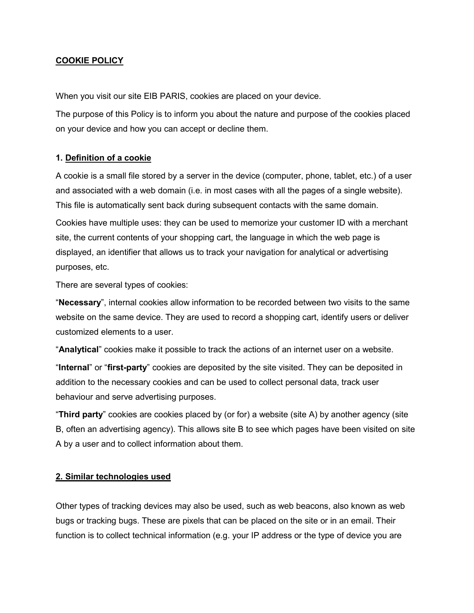## **COOKIE POLICY**

When you visit our site EIB PARIS, cookies are placed on your device.

The purpose of this Policy is to inform you about the nature and purpose of the cookies placed on your device and how you can accept or decline them.

### **1. Definition of a cookie**

A cookie is a small file stored by a server in the device (computer, phone, tablet, etc.) of a user and associated with a web domain (i.e. in most cases with all the pages of a single website). This file is automatically sent back during subsequent contacts with the same domain.

Cookies have multiple uses: they can be used to memorize your customer ID with a merchant site, the current contents of your shopping cart, the language in which the web page is displayed, an identifier that allows us to track your navigation for analytical or advertising purposes, etc.

There are several types of cookies:

"**Necessary**", internal cookies allow information to be recorded between two visits to the same website on the same device. They are used to record a shopping cart, identify users or deliver customized elements to a user.

"**Analytical**" cookies make it possible to track the actions of an internet user on a website.

"**Internal**" or "**first-party**" cookies are deposited by the site visited. They can be deposited in addition to the necessary cookies and can be used to collect personal data, track user behaviour and serve advertising purposes.

"**Third party**" cookies are cookies placed by (or for) a website (site A) by another agency (site B, often an advertising agency). This allows site B to see which pages have been visited on site A by a user and to collect information about them.

#### **2. Similar technologies used**

Other types of tracking devices may also be used, such as web beacons, also known as web bugs or tracking bugs. These are pixels that can be placed on the site or in an email. Their function is to collect technical information (e.g. your IP address or the type of device you are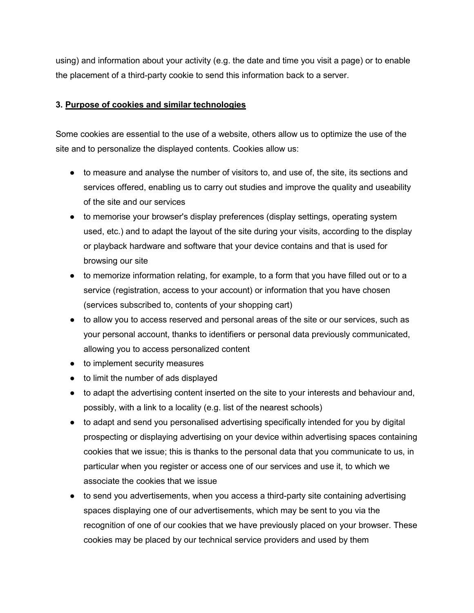using) and information about your activity (e.g. the date and time you visit a page) or to enable the placement of a third-party cookie to send this information back to a server.

# **3. Purpose of cookies and similar technologies**

Some cookies are essential to the use of a website, others allow us to optimize the use of the site and to personalize the displayed contents. Cookies allow us:

- to measure and analyse the number of visitors to, and use of, the site, its sections and services offered, enabling us to carry out studies and improve the quality and useability of the site and our services
- to memorise your browser's display preferences (display settings, operating system used, etc.) and to adapt the layout of the site during your visits, according to the display or playback hardware and software that your device contains and that is used for browsing our site
- to memorize information relating, for example, to a form that you have filled out or to a service (registration, access to your account) or information that you have chosen (services subscribed to, contents of your shopping cart)
- to allow you to access reserved and personal areas of the site or our services, such as your personal account, thanks to identifiers or personal data previously communicated, allowing you to access personalized content
- to implement security measures
- to limit the number of ads displayed
- to adapt the advertising content inserted on the site to your interests and behaviour and, possibly, with a link to a locality (e.g. list of the nearest schools)
- to adapt and send you personalised advertising specifically intended for you by digital prospecting or displaying advertising on your device within advertising spaces containing cookies that we issue; this is thanks to the personal data that you communicate to us, in particular when you register or access one of our services and use it, to which we associate the cookies that we issue
- to send you advertisements, when you access a third-party site containing advertising spaces displaying one of our advertisements, which may be sent to you via the recognition of one of our cookies that we have previously placed on your browser. These cookies may be placed by our technical service providers and used by them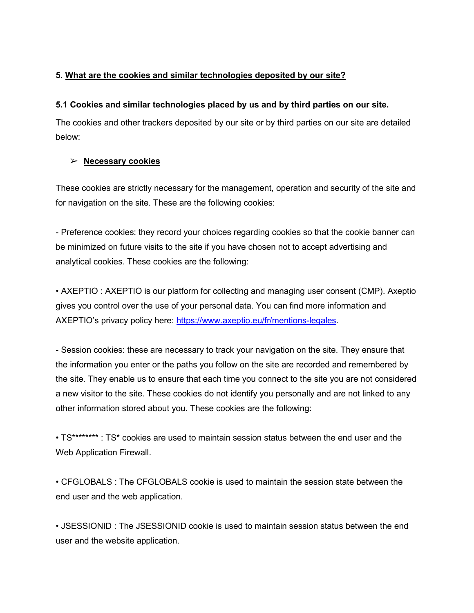# **5. What are the cookies and similar technologies deposited by our site?**

### **5.1 Cookies and similar technologies placed by us and by third parties on our site.**

The cookies and other trackers deposited by our site or by third parties on our site are detailed below:

### ➢ **Necessary cookies**

These cookies are strictly necessary for the management, operation and security of the site and for navigation on the site. These are the following cookies:

- Preference cookies: they record your choices regarding cookies so that the cookie banner can be minimized on future visits to the site if you have chosen not to accept advertising and analytical cookies. These cookies are the following:

• AXEPTIO : AXEPTIO is our platform for collecting and managing user consent (CMP). Axeptio gives you control over the use of your personal data. You can find more information and AXEPTIO's privacy policy here: [https://www.axeptio.eu/fr/mentions-legales.](https://www.axeptio.eu/fr/mentions-legales)

- Session cookies: these are necessary to track your navigation on the site. They ensure that the information you enter or the paths you follow on the site are recorded and remembered by the site. They enable us to ensure that each time you connect to the site you are not considered a new visitor to the site. These cookies do not identify you personally and are not linked to any other information stored about you. These cookies are the following:

• TS\*\*\*\*\*\*\*\* : TS\* cookies are used to maintain session status between the end user and the Web Application Firewall.

• CFGLOBALS : The CFGLOBALS cookie is used to maintain the session state between the end user and the web application.

• JSESSIONID : The JSESSIONID cookie is used to maintain session status between the end user and the website application.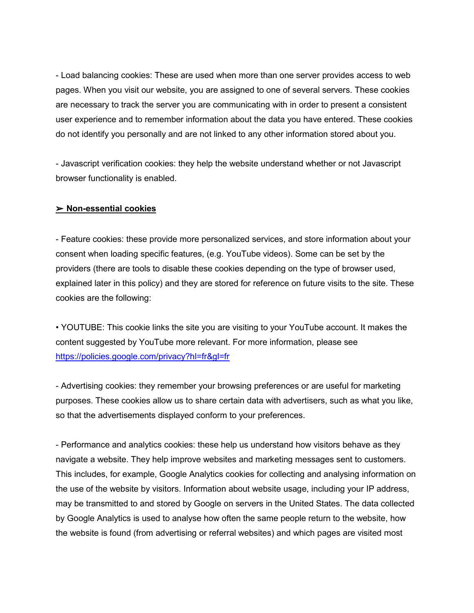- Load balancing cookies: These are used when more than one server provides access to web pages. When you visit our website, you are assigned to one of several servers. These cookies are necessary to track the server you are communicating with in order to present a consistent user experience and to remember information about the data you have entered. These cookies do not identify you personally and are not linked to any other information stored about you.

- Javascript verification cookies: they help the website understand whether or not Javascript browser functionality is enabled.

#### ➢ **Non-essential cookies**

- Feature cookies: these provide more personalized services, and store information about your consent when loading specific features, (e.g. YouTube videos). Some can be set by the providers (there are tools to disable these cookies depending on the type of browser used, explained later in this policy) and they are stored for reference on future visits to the site. These cookies are the following:

• YOUTUBE: This cookie links the site you are visiting to your YouTube account. It makes the content suggested by YouTube more relevant. For more information, please see <https://policies.google.com/privacy?hl=fr&gl=fr>

- Advertising cookies: they remember your browsing preferences or are useful for marketing purposes. These cookies allow us to share certain data with advertisers, such as what you like, so that the advertisements displayed conform to your preferences.

- Performance and analytics cookies: these help us understand how visitors behave as they navigate a website. They help improve websites and marketing messages sent to customers. This includes, for example, Google Analytics cookies for collecting and analysing information on the use of the website by visitors. Information about website usage, including your IP address, may be transmitted to and stored by Google on servers in the United States. The data collected by Google Analytics is used to analyse how often the same people return to the website, how the website is found (from advertising or referral websites) and which pages are visited most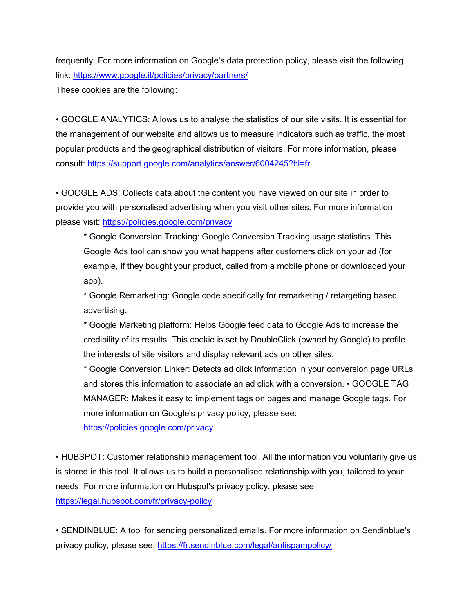frequently. For more information on Google's data protection policy, please visit the following link:<https://www.google.it/policies/privacy/partners/>

These cookies are the following:

• GOOGLE ANALYTICS: Allows us to analyse the statistics of our site visits. It is essential for the management of our website and allows us to measure indicators such as traffic, the most popular products and the geographical distribution of visitors. For more information, please consult:<https://support.google.com/analytics/answer/6004245?hl=fr>

• GOOGLE ADS: Collects data about the content you have viewed on our site in order to provide you with personalised advertising when you visit other sites. For more information please visit: <https://policies.google.com/privacy>

\* Google Conversion Tracking: Google Conversion Tracking usage statistics. This Google Ads tool can show you what happens after customers click on your ad (for example, if they bought your product, called from a mobile phone or downloaded your app).

\* Google Remarketing: Google code specifically for remarketing / retargeting based advertising.

\* Google Marketing platform: Helps Google feed data to Google Ads to increase the credibility of its results. This cookie is set by DoubleClick (owned by Google) to profile the interests of site visitors and display relevant ads on other sites.

\* Google Conversion Linker: Detects ad click information in your conversion page URLs and stores this information to associate an ad click with a conversion. • GOOGLE TAG MANAGER: Makes it easy to implement tags on pages and manage Google tags. For more information on Google's privacy policy, please see:

<https://policies.google.com/privacy>

• HUBSPOT: Customer relationship management tool. All the information you voluntarily give us is stored in this tool. It allows us to build a personalised relationship with you, tailored to your needs. For more information on Hubspot's privacy policy, please see: <https://legal.hubspot.com/fr/privacy-policy>

• SENDINBLUE: A tool for sending personalized emails. For more information on Sendinblue's privacy policy, please see:<https://fr.sendinblue.com/legal/antispampolicy/>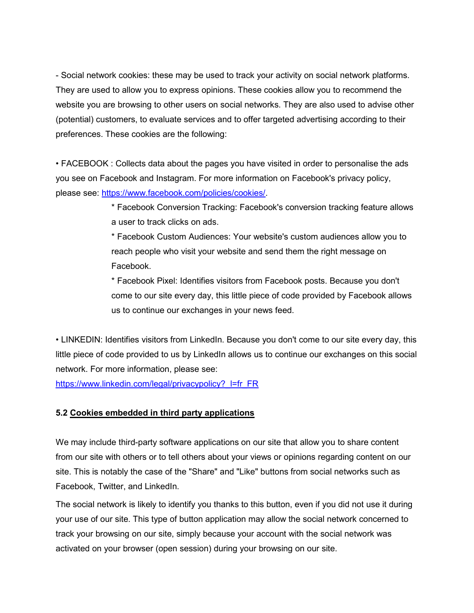- Social network cookies: these may be used to track your activity on social network platforms. They are used to allow you to express opinions. These cookies allow you to recommend the website you are browsing to other users on social networks. They are also used to advise other (potential) customers, to evaluate services and to offer targeted advertising according to their preferences. These cookies are the following:

• FACEBOOK : Collects data about the pages you have visited in order to personalise the ads you see on Facebook and Instagram. For more information on Facebook's privacy policy, please see: [https://www.facebook.com/policies/cookies/.](https://www.facebook.com/policies/cookies/)

> \* Facebook Conversion Tracking: Facebook's conversion tracking feature allows a user to track clicks on ads.

\* Facebook Custom Audiences: Your website's custom audiences allow you to reach people who visit your website and send them the right message on Facebook.

\* Facebook Pixel: Identifies visitors from Facebook posts. Because you don't come to our site every day, this little piece of code provided by Facebook allows us to continue our exchanges in your news feed.

• LINKEDIN: Identifies visitors from LinkedIn. Because you don't come to our site every day, this little piece of code provided to us by LinkedIn allows us to continue our exchanges on this social network. For more information, please see:

https://www.linkedin.com/legal/privacypolicy? l=fr\_FR

### **5.2 Cookies embedded in third party applications**

We may include third-party software applications on our site that allow you to share content from our site with others or to tell others about your views or opinions regarding content on our site. This is notably the case of the "Share" and "Like" buttons from social networks such as Facebook, Twitter, and LinkedIn.

The social network is likely to identify you thanks to this button, even if you did not use it during your use of our site. This type of button application may allow the social network concerned to track your browsing on our site, simply because your account with the social network was activated on your browser (open session) during your browsing on our site.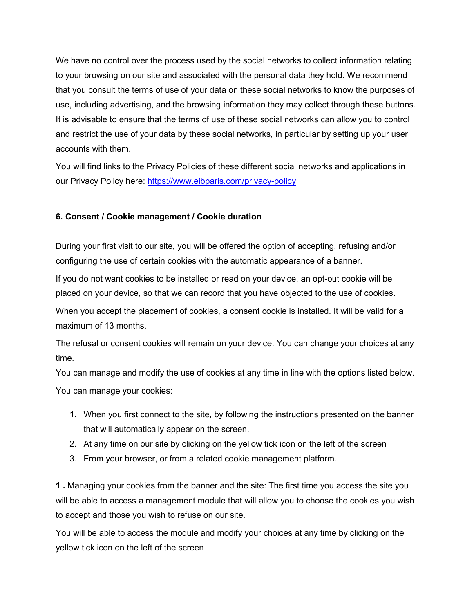We have no control over the process used by the social networks to collect information relating to your browsing on our site and associated with the personal data they hold. We recommend that you consult the terms of use of your data on these social networks to know the purposes of use, including advertising, and the browsing information they may collect through these buttons. It is advisable to ensure that the terms of use of these social networks can allow you to control and restrict the use of your data by these social networks, in particular by setting up your user accounts with them.

You will find links to the Privacy Policies of these different social networks and applications in our Privacy Policy here:<https://www.eibparis.com/privacy-policy>

# **6. Consent / Cookie management / Cookie duration**

During your first visit to our site, you will be offered the option of accepting, refusing and/or configuring the use of certain cookies with the automatic appearance of a banner.

If you do not want cookies to be installed or read on your device, an opt-out cookie will be placed on your device, so that we can record that you have objected to the use of cookies.

When you accept the placement of cookies, a consent cookie is installed. It will be valid for a maximum of 13 months.

The refusal or consent cookies will remain on your device. You can change your choices at any time.

You can manage and modify the use of cookies at any time in line with the options listed below. You can manage your cookies:

- 1. When you first connect to the site, by following the instructions presented on the banner that will automatically appear on the screen.
- 2. At any time on our site by clicking on the yellow tick icon on the left of the screen
- 3. From your browser, or from a related cookie management platform.

**1 .** Managing your cookies from the banner and the site: The first time you access the site you will be able to access a management module that will allow you to choose the cookies you wish to accept and those you wish to refuse on our site.

You will be able to access the module and modify your choices at any time by clicking on the yellow tick icon on the left of the screen